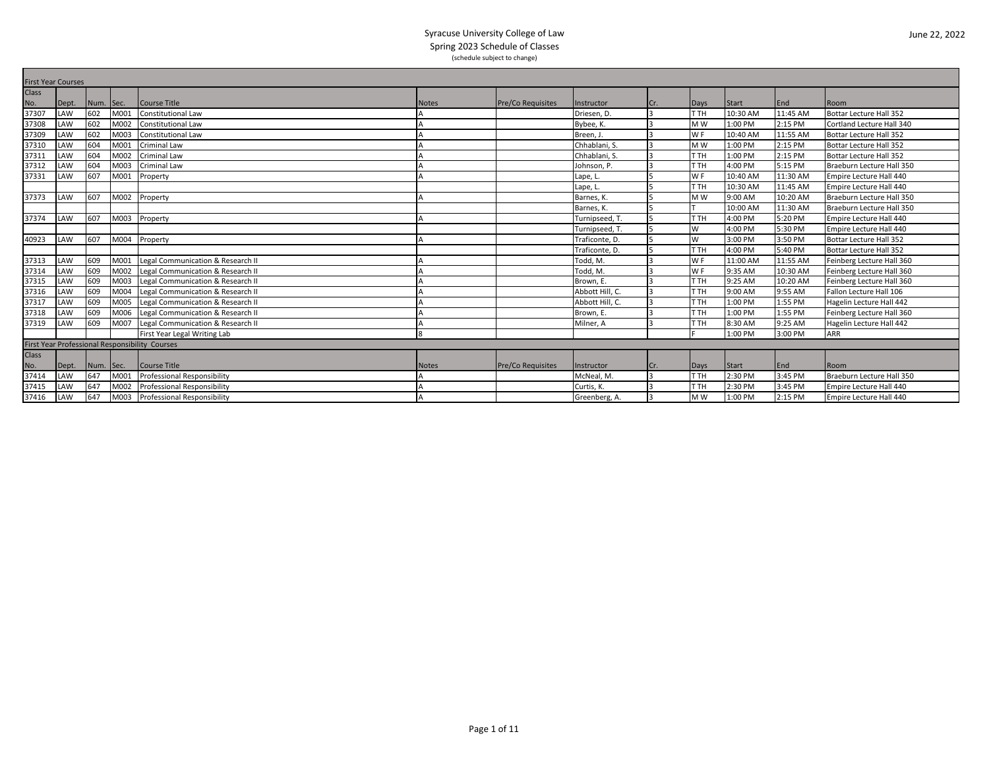|              | <b>First Year Courses</b> |           |      |                                                |              |                          |                 |                |                 |              |          |                                |  |
|--------------|---------------------------|-----------|------|------------------------------------------------|--------------|--------------------------|-----------------|----------------|-----------------|--------------|----------|--------------------------------|--|
| <b>Class</b> |                           |           |      |                                                |              |                          |                 |                |                 |              |          |                                |  |
| No.          | Dept.                     | Num. Sec. |      | <b>Course Title</b>                            | <b>Notes</b> | <b>Pre/Co Requisites</b> | Instructor      | ICr.           | Days            | <b>Start</b> | End      | Room                           |  |
| 37307        | LAW                       | 602       | M001 | <b>Constitutional Law</b>                      |              |                          | Driesen. D.     | $\overline{3}$ | T TH            | 10:30 AM     | 11:45 AM | Bottar Lecture Hall 352        |  |
| 37308        | LAW                       | 602       | M002 | <b>Constitutional Law</b>                      |              |                          | Bybee, K.       | $\overline{3}$ | M <sub>W</sub>  | 1:00 PM      | 2:15 PM  | Cortland Lecture Hall 340      |  |
| 37309        | LAW                       | 602       | M003 | <b>Constitutional Law</b>                      |              |                          | Breen. J        |                | W <sub>F</sub>  | 10:40 AM     | 11:55 AM | Bottar Lecture Hall 352        |  |
| 37310        | LAW                       | 604       | M001 | <b>Criminal Law</b>                            |              |                          | Chhablani, S.   | $\overline{3}$ | M <sub>W</sub>  | 1:00 PM      | 2:15 PM  | <b>Bottar Lecture Hall 352</b> |  |
| 37311        | LAW                       | 604       | M002 | <b>Criminal Law</b>                            |              |                          | Chhablani, S.   | $\overline{3}$ | <b>T</b> H      | 1:00 PM      | 2:15 PM  | <b>Bottar Lecture Hall 352</b> |  |
| 37312        | LAW                       | 604       | M003 | Criminal Law                                   |              |                          | Johnson, P.     | I٩             | <b>T</b> H      | 4:00 PM      | 5:15 PM  | Braeburn Lecture Hall 350      |  |
| 37331        | LAW                       | 607       | M001 | Property                                       |              |                          | Lape, L         |                | W <sub>F</sub>  | 10:40 AM     | 11:30 AM | Empire Lecture Hall 440        |  |
|              |                           |           |      |                                                |              |                          | Lape, L         |                | T TH            | 10:30 AM     | 11:45 AM | Empire Lecture Hall 440        |  |
| 37373        | LAW                       | 607       | M002 | Property                                       |              |                          | Barnes, K.      |                | M <sub>W</sub>  | 9:00 AM      | 10:20 AM | Braeburn Lecture Hall 350      |  |
|              |                           |           |      |                                                |              |                          | Barnes, K.      | 15             |                 | 10:00 AM     | 11:30 AM | Braeburn Lecture Hall 350      |  |
| 37374        | LAW                       | 607       | M003 | Property                                       |              |                          | Turnipseed, T.  | 5              | T TH            | 4:00 PM      | 5:20 PM  | Empire Lecture Hall 440        |  |
|              |                           |           |      |                                                |              |                          | Turnipseed, T.  |                | W               | 4:00 PM      | 5:30 PM  | Empire Lecture Hall 440        |  |
| 40923        | LAW                       | 607       | M004 | Property                                       |              |                          | Traficonte. D.  |                | W               | 3:00 PM      | 3:50 PM  | <b>Bottar Lecture Hall 352</b> |  |
|              |                           |           |      |                                                |              |                          | Traficonte, D.  | 5              | <b>T</b> H      | 4:00 PM      | 5:40 PM  | <b>Bottar Lecture Hall 352</b> |  |
| 37313        | LAW                       | 609       | M001 | Legal Communication & Research II              |              |                          | Todd, M.        |                | W <sub>F</sub>  | 11:00 AM     | 11:55 AM | Feinberg Lecture Hall 360      |  |
| 37314        | LAW                       | 609       | M002 | Legal Communication & Research II              |              |                          | Todd. M.        | l 3            | WF              | 9:35 AM      | 10:30 AM | Feinberg Lecture Hall 360      |  |
| 37315        | LAW                       | 609       | M003 | Legal Communication & Research II              |              |                          | Brown, E.       |                | <b>T</b> H      | 9:25 AM      | 10:20 AM | Feinberg Lecture Hall 360      |  |
| 37316        | LAW                       | 609       | M004 | Legal Communication & Research II              |              |                          | Abbott Hill, C. | I٩             | T <sub>TH</sub> | 9:00 AM      | 9:55 AM  | Fallon Lecture Hall 106        |  |
| 37317        | LAW                       | 609       | M005 | Legal Communication & Research II              |              |                          | Abbott Hill, C. |                | T TH            | 1:00 PM      | 1:55 PM  | Hagelin Lecture Hall 442       |  |
| 37318        | LAW                       | 609       | M006 | Legal Communication & Research II              |              |                          | Brown. E.       | $\overline{3}$ | T TH            | 1:00 PM      | 1:55 PM  | Feinberg Lecture Hall 360      |  |
| 37319        | LAW                       | 609       | M007 | Legal Communication & Research II              |              |                          | Milner, A       |                | <b>T</b> H      | 8:30 AM      | 9:25 AM  | Hagelin Lecture Hall 442       |  |
|              |                           |           |      | First Year Legal Writing Lab                   |              |                          |                 |                |                 | 1:00 PM      | 3:00 PM  | <b>ARR</b>                     |  |
|              |                           |           |      | First Year Professional Responsibility Courses |              |                          |                 |                |                 |              |          |                                |  |
| <b>Class</b> |                           |           |      |                                                |              |                          |                 |                |                 |              |          |                                |  |
| No.          | Dept.                     | Num. Sec. |      | Course Title                                   | <b>Notes</b> | <b>Pre/Co Requisites</b> | Instructor      | Cr.            | Days            | Start        | End      | Room                           |  |
| 37414        | LAW                       | 647       | M001 | Professional Responsibility                    |              |                          | McNeal, M.      | 3              | T <sub>TH</sub> | 2:30 PM      | 3:45 PM  | Braeburn Lecture Hall 350      |  |
| 37415        | LAW                       | 647       | M002 | Professional Responsibility                    |              |                          | Curtis. K.      |                | T TH            | 2:30 PM      | 3:45 PM  | Empire Lecture Hall 440        |  |
| 37416        | LAW                       | 647       | M003 | Professional Responsibility                    |              |                          | Greenberg, A.   | $\overline{3}$ | M <sub>W</sub>  | 1:00 PM      | 2:15 PM  | Empire Lecture Hall 440        |  |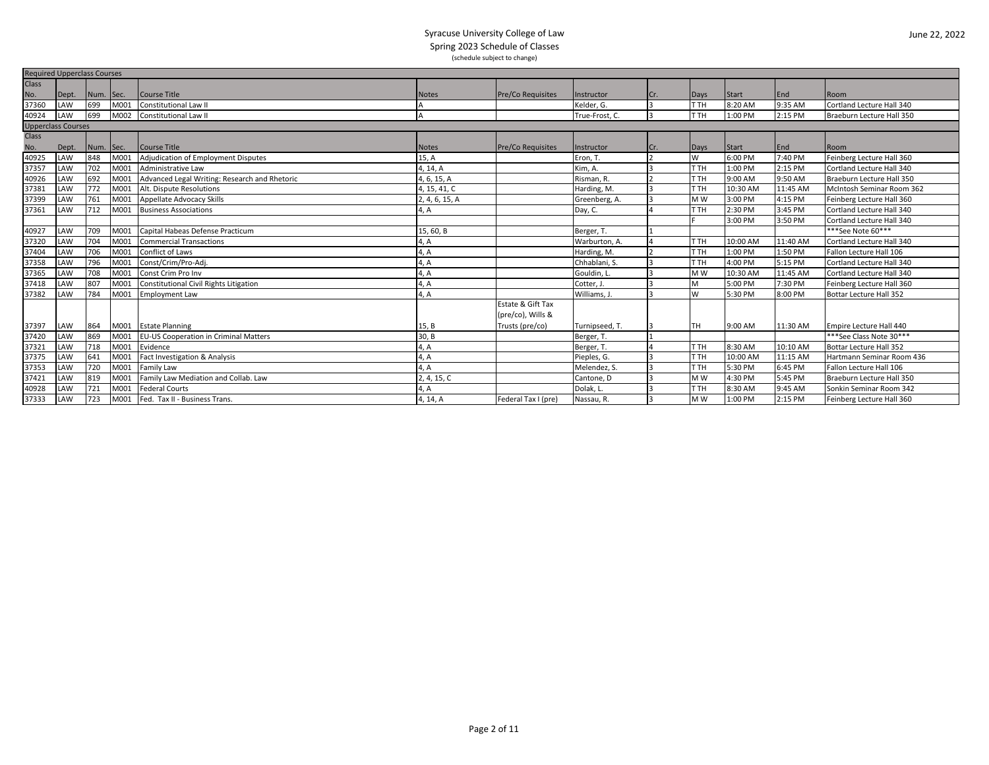|                           | <b>Required Upperclass Courses</b> |           |      |                                               |                |                     |                |     |      |          |          |                                |  |
|---------------------------|------------------------------------|-----------|------|-----------------------------------------------|----------------|---------------------|----------------|-----|------|----------|----------|--------------------------------|--|
| <b>Class</b>              |                                    |           |      |                                               |                |                     |                |     |      |          |          |                                |  |
| No.                       | Dept.                              | Num. Sec. |      | Course Title                                  | <b>Notes</b>   | Pre/Co Requisites   | Instructor     | Cr. | Days | Start    | End      | Room                           |  |
| 37360                     | LAW                                | 699       | M001 | <b>Constitutional Law II</b>                  |                |                     | Kelder, G.     |     | T TH | 8:20 AM  | 9:35 AM  | Cortland Lecture Hall 340      |  |
| 40924                     | LAW                                | 699       |      | M002 Constitutional Law II                    |                |                     | True-Frost, C. |     | T TH | 1:00 PM  | 2:15 PM  | Braeburn Lecture Hall 350      |  |
| <b>Upperclass Courses</b> |                                    |           |      |                                               |                |                     |                |     |      |          |          |                                |  |
| <b>Class</b>              |                                    |           |      |                                               |                |                     |                |     |      |          |          |                                |  |
| No.                       | Dept.                              | Num. Sec. |      | Course Title                                  | <b>Notes</b>   | Pre/Co Requisites   | Instructor     | Cr. | Days | Start    | End      | Room                           |  |
| 40925                     | LAW                                | 848       | M001 | Adjudication of Employment Disputes           | 15, A          |                     | Eron, T.       |     | W    | 6:00 PM  | 7:40 PM  | Feinberg Lecture Hall 360      |  |
| 37357                     | LAW                                | 702       | M001 | Administrative Law                            | 4, 14, A       |                     | Kim, A.        |     | T TH | 1:00 PM  | 2:15 PM  | Cortland Lecture Hall 340      |  |
| 40926                     | LAW                                | 692       | M001 | Advanced Legal Writing: Research and Rhetoric | 4, 6, 15, A    |                     | Risman, R.     |     | T TH | 9:00 AM  | 9:50 AM  | Braeburn Lecture Hall 350      |  |
| 37381                     | LAW                                | 772       | M001 | Alt. Dispute Resolutions                      | 4, 15, 41, C   |                     | Harding, M.    |     | T TH | 10:30 AM | 11:45 AM | McIntosh Seminar Room 362      |  |
| 37399                     | LAW                                | 761       | M001 | <b>Appellate Advocacy Skills</b>              | 2, 4, 6, 15, A |                     | Greenberg, A.  |     | M W  | 3:00 PM  | 4:15 PM  | Feinberg Lecture Hall 360      |  |
| 37361                     | LAW                                | 712       | M001 | <b>Business Associations</b>                  | 4, A           |                     | Day, C.        |     | T TH | 2:30 PM  | 3:45 PM  | Cortland Lecture Hall 340      |  |
|                           |                                    |           |      |                                               |                |                     |                |     |      | 3:00 PM  | 3:50 PM  | Cortland Lecture Hall 340      |  |
| 40927                     | LAW                                | 709       | M001 | Capital Habeas Defense Practicum              | 15,60,B        |                     | Berger, T.     |     |      |          |          | ***See Note 60***              |  |
| 37320                     | LAW                                | 704       | M001 | <b>Commercial Transactions</b>                | 4, A           |                     | Warburton, A.  |     | T TH | 10:00 AM | 11:40 AM | Cortland Lecture Hall 340      |  |
| 37404                     | LAW                                | 706       | M001 | <b>Conflict of Laws</b>                       | 4, A           |                     | Harding, M.    |     | T TH | 1:00 PM  | 1:50 PM  | Fallon Lecture Hall 106        |  |
| 37358                     | LAW                                | 796       | M001 | Const/Crim/Pro-Adj.                           | 4, A           |                     | Chhablani, S.  |     | T TH | 4:00 PM  | 5:15 PM  | Cortland Lecture Hall 340      |  |
| 37365                     | LAW                                | 708       | M001 | Const Crim Pro Inv                            | 4, A           |                     | Gouldin, L.    |     | M W  | 10:30 AM | 11:45 AM | Cortland Lecture Hall 340      |  |
| 37418                     | LAW                                | 807       | M001 | Constitutional Civil Rights Litigation        | 4, A           |                     | Cotter, J.     |     | M    | 5:00 PM  | 7:30 PM  | Feinberg Lecture Hall 360      |  |
| 37382                     | LAW                                | 784       | M001 | <b>Employment Law</b>                         | 4, A           |                     | Williams, J    |     | W    | 5:30 PM  | 8:00 PM  | Bottar Lecture Hall 352        |  |
|                           |                                    |           |      |                                               |                | Estate & Gift Tax   |                |     |      |          |          |                                |  |
|                           |                                    |           |      |                                               |                | (pre/co), Wills &   |                |     |      |          |          |                                |  |
| 37397                     | LAW                                | 864       |      | M001 Estate Planning                          | 15, B          | Trusts (pre/co)     | Turnipseed, T. |     | TH   | 9:00 AM  | 11:30 AM | Empire Lecture Hall 440        |  |
| 37420                     | LAW                                | 869       | M001 | EU-US Cooperation in Criminal Matters         | 30, B          |                     | Berger, T      |     |      |          |          | ***See Class Note 30***        |  |
| 37321                     | LAW                                | 718       | M001 | Evidence                                      | 4, A           |                     | Berger, T.     |     | T TH | 8:30 AM  | 10:10 AM | <b>Bottar Lecture Hall 352</b> |  |
| 37375                     | LAW                                | 641       | M001 | Fact Investigation & Analysis                 | 4, A           |                     | Pieples, G.    |     | T TH | 10:00 AM | 11:15 AM | Hartmann Seminar Room 436      |  |
| 37353                     | LAW                                | 720       | M001 | <b>Family Law</b>                             | 4, A           |                     | Melendez, S.   |     | T TH | 5:30 PM  | 6:45 PM  | Fallon Lecture Hall 106        |  |
| 37421                     | LAW                                | 819       | M001 | Family Law Mediation and Collab. Law          | 2, 4, 15, C    |                     | Cantone, D     |     | M W  | 4:30 PM  | 5:45 PM  | Braeburn Lecture Hall 350      |  |
| 40928                     | LAW                                | 721       | M001 | <b>Federal Courts</b>                         | 4, A           |                     | Dolak, L       |     | T TH | 8:30 AM  | 9:45 AM  | Sonkin Seminar Room 342        |  |
| 37333                     | LAW                                | 723       | M001 | Fed. Tax II - Business Trans.                 | 4, 14, A       | Federal Tax I (pre) | Nassau, R.     |     | M W  | 1:00 PM  | 2:15 PM  | Feinberg Lecture Hall 360      |  |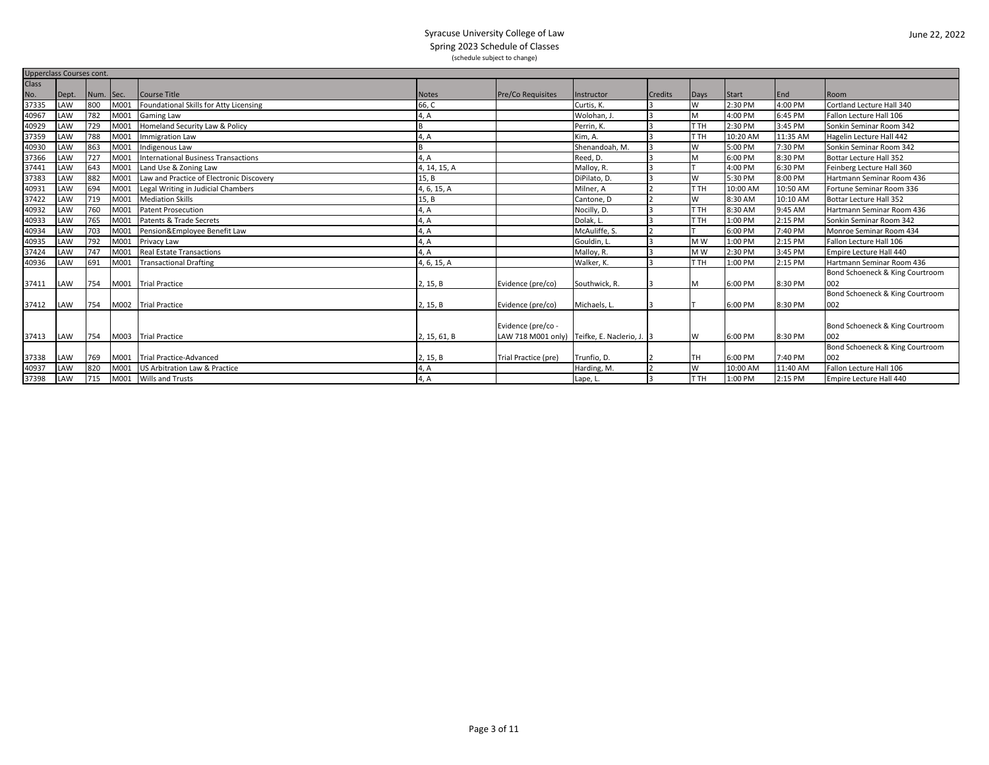|              | <b>Upperclass Courses cont.</b> |           |      |                                          |              |                          |                                              |                |                |          |          |                                 |  |
|--------------|---------------------------------|-----------|------|------------------------------------------|--------------|--------------------------|----------------------------------------------|----------------|----------------|----------|----------|---------------------------------|--|
| <b>Class</b> |                                 |           |      |                                          |              |                          |                                              |                |                |          |          |                                 |  |
| No.          | Dept.                           | Num. Sec. |      | Course Title                             | <b>Notes</b> | <b>Pre/Co Requisites</b> | Instructor                                   | <b>Credits</b> | Days           | Start    | End      | Room                            |  |
| 37335        | LAW                             | 800       | M001 | Foundational Skills for Atty Licensing   | 66, C        |                          | Curtis, K.                                   |                | W              | 2:30 PM  | 4:00 PM  | Cortland Lecture Hall 340       |  |
| 40967        | LAW                             | 782       | M001 | <b>Gaming Law</b>                        | 4, A         |                          | Wolohan. J                                   | 3              |                | 4:00 PM  | 6:45 PM  | Fallon Lecture Hall 106         |  |
| 40929        | LAW                             | 729       | M001 | Homeland Security Law & Policy           |              |                          | Perrin. K                                    | 13             | T TH           | 2:30 PM  | 3:45 PM  | Sonkin Seminar Room 342         |  |
| 37359        | LAW                             | 788       | M001 | <b>Immigration Law</b>                   | 4, A         |                          | Kim, A.                                      |                | T TH           | 10:20 AM | 11:35 AM | Hagelin Lecture Hall 442        |  |
| 40930        | LAW                             | 863       | M001 | Indigenous Law                           |              |                          | Shenandoah. M.                               |                | W              | 5:00 PM  | 7:30 PM  | Sonkin Seminar Room 342         |  |
| 37366        | LAW                             | 727       | M001 | International Business Transactions      | 4, A         |                          | Reed, D.                                     | R              |                | 6:00 PM  | 8:30 PM  | Bottar Lecture Hall 352         |  |
| 37441        | LAW                             | 643       | M001 | Land Use & Zoning Law                    | 4, 14, 15, A |                          | Malloy, R.                                   |                |                | 4:00 PM  | 6:30 PM  | Feinberg Lecture Hall 360       |  |
| 37383        | LAW                             | 882       | M001 | Law and Practice of Electronic Discovery | 15, B        |                          | DiPilato, D.                                 | R              | W              | 5:30 PM  | 8:00 PM  | Hartmann Seminar Room 436       |  |
| 40931        | LAW                             | 694       | M001 | Legal Writing in Judicial Chambers       | 4, 6, 15, A  |                          | Milner. A                                    |                | T TH           | 10:00 AM | 10:50 AM | Fortune Seminar Room 336        |  |
| 37422        | LAW                             | 719       | M001 | <b>Mediation Skills</b>                  | 15, B        |                          | Cantone, D                                   |                | W              | 8:30 AM  | 10:10 AM | <b>Bottar Lecture Hall 352</b>  |  |
| 40932        | LAW                             | 760       | M001 | <b>Patent Prosecution</b>                | 4, A         |                          | Nocilly, D.                                  | l3             | T TH           | 8:30 AM  | 9:45 AM  | Hartmann Seminar Room 436       |  |
| 40933        | LAW                             | 765       | M001 | Patents & Trade Secrets                  | 4, A         |                          | Dolak, L.                                    |                | T TH           | 1:00 PM  | 2:15 PM  | Sonkin Seminar Room 342         |  |
| 40934        | LAW                             | 703       | M001 | Pension&Employee Benefit Law             | 4, A         |                          | McAuliffe, S.                                |                |                | 6:00 PM  | 7:40 PM  | Monroe Seminar Room 434         |  |
| 40935        | LAW                             | 792       | M001 | Privacy Law                              | 4, A         |                          | Gouldin. L                                   | 3              | M <sub>W</sub> | 1:00 PM  | 2:15 PM  | Fallon Lecture Hall 106         |  |
| 37424        | LAW                             | 747       | M001 | <b>Real Estate Transactions</b>          | 4, A         |                          | Malloy, R.                                   |                | M <sub>W</sub> | 2:30 PM  | 3:45 PM  | Empire Lecture Hall 440         |  |
| 40936        | LAW                             | 691       | M001 | <b>Transactional Drafting</b>            | 4, 6, 15, A  |                          | Walker, K.                                   |                | T TH           | 1:00 PM  | 2:15 PM  | Hartmann Seminar Room 436       |  |
|              |                                 |           |      |                                          |              |                          |                                              |                |                |          |          | Bond Schoeneck & King Courtroom |  |
| 37411        | LAW                             | 754       |      | M001 Trial Practice                      | 2, 15, B     | Evidence (pre/co)        | Southwick, R.                                |                |                | 6:00 PM  | 8:30 PM  | 002                             |  |
|              |                                 |           |      |                                          |              |                          |                                              |                |                |          |          | Bond Schoeneck & King Courtroom |  |
| 37412        | LAW                             | 754       |      | M002 Trial Practice                      | 2, 15, B     | Evidence (pre/co)        | Michaels, L.                                 |                |                | 6:00 PM  | 8:30 PM  | 002                             |  |
|              |                                 |           |      |                                          |              |                          |                                              |                |                |          |          |                                 |  |
|              |                                 |           |      |                                          |              | Evidence (pre/co -       |                                              |                |                |          |          | Bond Schoeneck & King Courtroom |  |
| 37413        | LAW                             | 754       |      | M003 Trial Practice                      | 2, 15, 61, B |                          | LAW 718 M001 only) Teifke, E. Naclerio, J. 3 |                | W              | 6:00 PM  | 8:30 PM  | 002                             |  |
|              |                                 |           |      |                                          |              |                          |                                              |                |                |          |          | Bond Schoeneck & King Courtroom |  |
| 37338        | LAW                             | 769       |      | M001 Trial Practice-Advanced             | 2, 15, B     | Trial Practice (pre)     | Trunfio. D.                                  |                | TН             | 6:00 PM  | 7:40 PM  | 002                             |  |
| 40937        | LAW                             | 820       | M001 | US Arbitration Law & Practice            | 4, A         |                          | Harding, M.                                  | $\overline{2}$ | W              | 10:00 AM | 11:40 AM | Fallon Lecture Hall 106         |  |
| 37398        | LAW                             | 715       |      | M001 Wills and Trusts                    | 4, A         |                          | Lape, L.                                     | k.             | T TH           | 1:00 PM  | 2:15 PM  | Empire Lecture Hall 440         |  |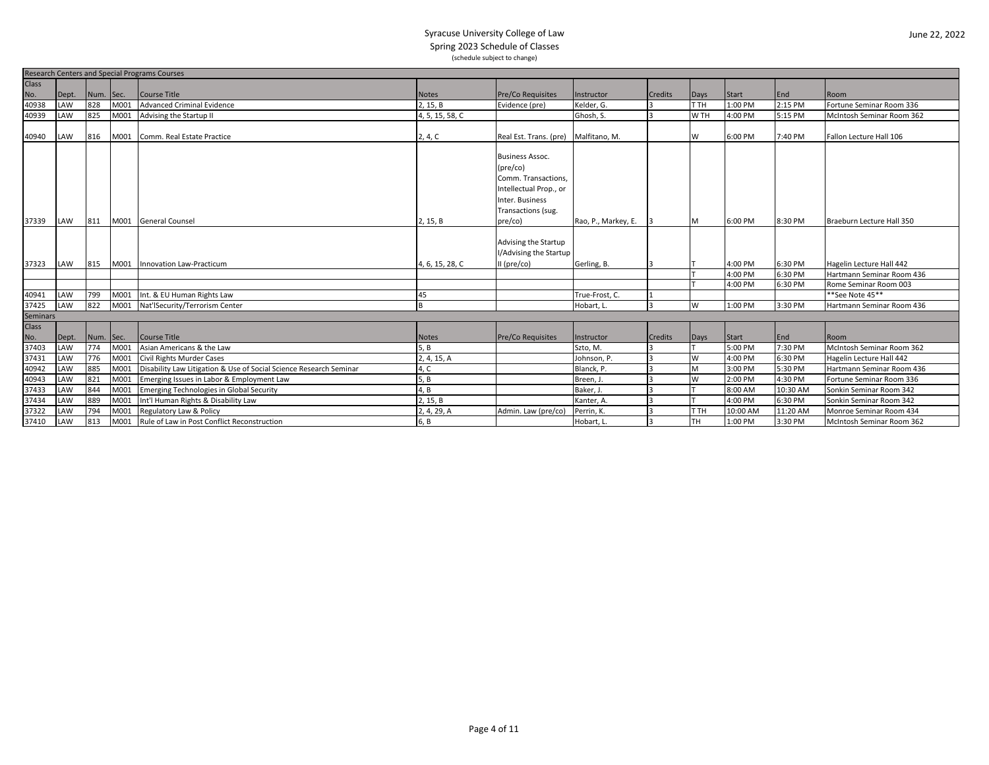|                   | <b>Research Centers and Special Programs Courses</b> |           |      |                                                                    |                 |                                      |                     |         |           |          |          |                           |
|-------------------|------------------------------------------------------|-----------|------|--------------------------------------------------------------------|-----------------|--------------------------------------|---------------------|---------|-----------|----------|----------|---------------------------|
| Class             |                                                      |           |      |                                                                    |                 |                                      |                     |         |           |          |          |                           |
| No.               | Dept.                                                | Num. Sec. |      | Course Title                                                       | <b>Notes</b>    | Pre/Co Requisites                    | Instructor          | Credits | Days      | Start    | End      | Room                      |
| 40938             | LAW                                                  | 828       | M001 | <b>Advanced Criminal Evidence</b>                                  | 2, 15, B        | Evidence (pre)                       | Kelder, G.          |         | T TH      | 1:00 PM  | 2:15 PM  | Fortune Seminar Room 336  |
| 40939             | LAW                                                  | 825       | M001 | Advising the Startup II                                            | 4, 5, 15, 58, C |                                      | Ghosh, S.           |         | W TH      | 4:00 PM  | 5:15 PM  | McIntosh Seminar Room 362 |
|                   |                                                      |           |      |                                                                    |                 |                                      |                     |         |           |          |          |                           |
| 40940             | LAW                                                  | 816       | M001 | Comm. Real Estate Practice                                         | 2, 4, C         | Real Est. Trans. (pre) Malfitano, M. |                     |         | W         | 6:00 PM  | 7:40 PM  | Fallon Lecture Hall 106   |
|                   |                                                      |           |      |                                                                    |                 |                                      |                     |         |           |          |          |                           |
|                   |                                                      |           |      |                                                                    |                 | <b>Business Assoc.</b>               |                     |         |           |          |          |                           |
|                   |                                                      |           |      |                                                                    |                 | $(\text{pre/co})$                    |                     |         |           |          |          |                           |
|                   |                                                      |           |      |                                                                    |                 | Comm. Transactions,                  |                     |         |           |          |          |                           |
|                   |                                                      |           |      |                                                                    |                 | Intellectual Prop., or               |                     |         |           |          |          |                           |
|                   |                                                      |           |      |                                                                    |                 | Inter. Business                      |                     |         |           |          |          |                           |
|                   |                                                      |           |      |                                                                    |                 | Transactions (sug.                   |                     |         |           |          |          |                           |
| 37339             | LAW                                                  | 811       |      | M001 General Counsel                                               | 2, 15, B        | pre/co)                              | Rao, P., Markey, E. |         | M         | 6:00 PM  | 8:30 PM  | Braeburn Lecture Hall 350 |
|                   |                                                      |           |      |                                                                    |                 |                                      |                     |         |           |          |          |                           |
|                   |                                                      |           |      |                                                                    |                 | Advising the Startup                 |                     |         |           |          |          |                           |
|                   |                                                      |           |      |                                                                    |                 | I/Advising the Startup               |                     |         |           |          |          |                           |
| 37323             | LAW                                                  |           |      | 815 M001 Innovation Law-Practicum                                  | 4, 6, 15, 28, C | $II$ (pre/co)                        | Gerling, B.         |         |           | 4:00 PM  | 6:30 PM  | Hagelin Lecture Hall 442  |
|                   |                                                      |           |      |                                                                    |                 |                                      |                     |         |           | 4:00 PM  | 6:30 PM  | Hartmann Seminar Room 436 |
|                   |                                                      |           |      |                                                                    |                 |                                      |                     |         |           | 4:00 PM  | 6:30 PM  | Rome Seminar Room 003     |
| 40941             | LAW                                                  | 799       | M001 | Int. & EU Human Rights Law                                         | 45              |                                      | True-Frost, C.      |         |           |          |          | **See Note 45**           |
| 37425             | LAW                                                  | 822       |      | M001 Nat'lSecurity/Terrorism Center                                |                 |                                      | Hobart, L.          |         | W         | 1:00 PM  | 3:30 PM  | Hartmann Seminar Room 436 |
| Seminars<br>Class |                                                      |           |      |                                                                    |                 |                                      |                     |         |           |          |          |                           |
|                   |                                                      |           |      |                                                                    |                 |                                      |                     |         |           |          |          |                           |
|                   | Dept.                                                | Num. Sec. |      | Course Title                                                       | <b>Notes</b>    | <b>Pre/Co Requisites</b>             | Instructor          | Credits | Days      | Start    | End      | Room                      |
| No.<br>37403      | LAW                                                  | 774       | M001 | Asian Americans & the Law                                          | 5. B            |                                      | Szto, M.            |         |           | 5:00 PM  | 7:30 PM  | McIntosh Seminar Room 362 |
| 37431             | LAW                                                  | 776       | M001 | Civil Rights Murder Cases                                          | 2, 4, 15, A     |                                      | Johnson, P.         |         | W         | 4:00 PM  | 6:30 PM  | Hagelin Lecture Hall 442  |
| 40942             | LAW                                                  | 885       | M001 | Disability Law Litigation & Use of Social Science Research Seminar | 1, C            |                                      | Blanck, P.          |         | M         | 3:00 PM  | 5:30 PM  | Hartmann Seminar Room 436 |
| 40943             | LAW                                                  | 821       | M001 | Emerging Issues in Labor & Employment Law                          | 5, B            |                                      | Breen, J.           |         | W         | 2:00 PM  | 4:30 PM  | Fortune Seminar Room 336  |
| 37433             | LAW                                                  | 844       | M001 | Emerging Technologies in Global Security                           | 1. B            |                                      | Baker. J.           |         |           | 8:00 AM  | 10:30 AM | Sonkin Seminar Room 342   |
| 37434             | LAW                                                  | 889       | M001 | Int'l Human Rights & Disability Law                                | 2, 15, B        |                                      | Kanter, A.          |         |           | 4:00 PM  | 6:30 PM  | Sonkin Seminar Room 342   |
| 37322             | LAW                                                  | 794       | M001 | Regulatory Law & Policy                                            | 2, 4, 29, A     | Admin. Law (pre/co)                  | Perrin, K.          |         | T TH      | 10:00 AM | 11:20 AM | Monroe Seminar Room 434   |
| 37410             | LAW                                                  | 813       | M001 | Rule of Law in Post Conflict Reconstruction                        | 6, B            |                                      | Hobart, L.          |         | <b>TH</b> | 1:00 PM  | 3:30 PM  | McIntosh Seminar Room 362 |
|                   |                                                      |           |      |                                                                    |                 |                                      |                     |         |           |          |          |                           |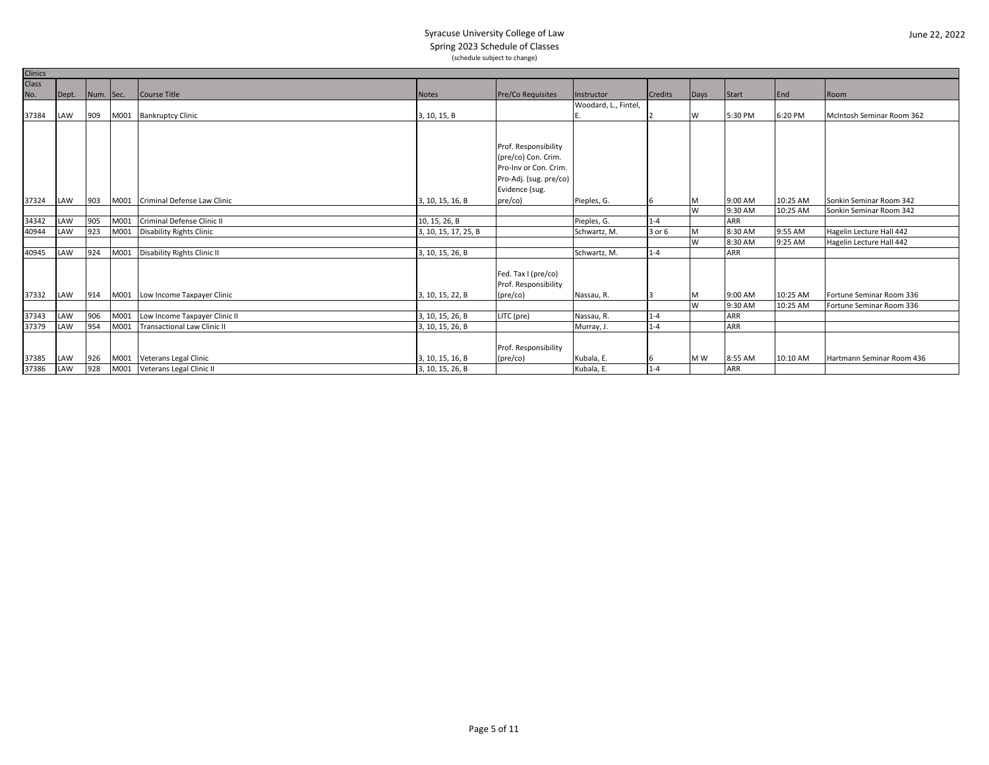| <b>Clinics</b> |       |           |      |                                    |                      |                          |                      |                |      |            |          |                           |
|----------------|-------|-----------|------|------------------------------------|----------------------|--------------------------|----------------------|----------------|------|------------|----------|---------------------------|
| <b>Class</b>   |       |           |      |                                    |                      |                          |                      |                |      |            |          |                           |
| No.            | Dept. | Num. Sec. |      | Course Title                       | <b>Notes</b>         | <b>Pre/Co Requisites</b> | Instructor           | <b>Credits</b> | Days | Start      | End      | Room                      |
|                |       |           |      |                                    |                      |                          | Woodard, L., Fintel, |                |      |            |          |                           |
| 37384          | LAW   | 909       |      | M001 Bankruptcy Clinic             | 3, 10, 15, B         |                          |                      |                | W    | 5:30 PM    | 6:20 PM  | McIntosh Seminar Room 362 |
|                |       |           |      |                                    |                      |                          |                      |                |      |            |          |                           |
|                |       |           |      |                                    |                      |                          |                      |                |      |            |          |                           |
|                |       |           |      |                                    |                      | Prof. Responsibility     |                      |                |      |            |          |                           |
|                |       |           |      |                                    |                      | (pre/co) Con. Crim.      |                      |                |      |            |          |                           |
|                |       |           |      |                                    |                      | Pro-Inv or Con. Crim.    |                      |                |      |            |          |                           |
|                |       |           |      |                                    |                      | Pro-Adj. (sug. pre/co)   |                      |                |      |            |          |                           |
|                |       |           |      |                                    |                      | Evidence (sug.           |                      |                |      |            |          |                           |
| 37324          | LAW   | 903       | M001 | Criminal Defense Law Clinic        | 3, 10, 15, 16, B     | pre/co)                  | Pieples, G.          | 6              | M    | 9:00 AM    | 10:25 AM | Sonkin Seminar Room 342   |
|                |       |           |      |                                    |                      |                          |                      |                | W    | 9:30 AM    | 10:25 AM | Sonkin Seminar Room 342   |
| 34342          | LAW   | 905       | M001 | Criminal Defense Clinic II         | 10, 15, 26, B        |                          | Pieples, G.          | $1 - 4$        |      | <b>ARR</b> |          |                           |
| 40944          | LAW   | 923       | M001 | <b>Disability Rights Clinic</b>    | 3, 10, 15, 17, 25, B |                          | Schwartz, M.         | 3 or 6         |      | 8:30 AM    | 9:55 AM  | Hagelin Lecture Hall 442  |
|                |       |           |      |                                    |                      |                          |                      |                | W    | 8:30 AM    | 9:25 AM  | Hagelin Lecture Hall 442  |
| 40945          | LAW   | 924       |      | M001 Disability Rights Clinic II   | 3, 10, 15, 26, B     |                          | Schwartz, M.         | $1 - 4$        |      | <b>ARR</b> |          |                           |
|                |       |           |      |                                    |                      |                          |                      |                |      |            |          |                           |
|                |       |           |      |                                    |                      | Fed. Tax I (pre/co)      |                      |                |      |            |          |                           |
|                |       |           |      |                                    |                      | Prof. Responsibility     |                      |                |      |            |          |                           |
| 37332          | LAW   | 914       |      | M001 Low Income Taxpayer Clinic    | 3, 10, 15, 22, B     | $(\text{pre/co})$        | Nassau, R.           |                |      | 9:00 AM    | 10:25 AM | Fortune Seminar Room 336  |
|                |       |           |      |                                    |                      |                          |                      |                | W    | 9:30 AM    | 10:25 AM | Fortune Seminar Room 336  |
| 37343          | LAW   | 906       |      | M001 Low Income Taxpayer Clinic II | 3, 10, 15, 26, B     | LITC (pre)               | Nassau, R.           | $1 - 4$        |      | <b>ARR</b> |          |                           |
| 37379          | LAW   | 954       | M001 | Transactional Law Clinic II        | 3, 10, 15, 26, B     |                          | Murray, J.           | $1 - 4$        |      | <b>ARR</b> |          |                           |
|                |       |           |      |                                    |                      |                          |                      |                |      |            |          |                           |
|                |       |           |      |                                    |                      | Prof. Responsibility     |                      |                |      |            |          |                           |
| 37385          | LAW   | 926       |      | M001 Veterans Legal Clinic         | 3, 10, 15, 16, B     | $(\text{pre/co})$        | Kubala, E.           | 6              | M W  | 8:55 AM    | 10:10 AM | Hartmann Seminar Room 436 |
| 37386          | LAW   | 928       |      | M001 Veterans Legal Clinic II      | 3, 10, 15, 26, B     |                          | Kubala, E.           | $1 - 4$        |      | <b>ARR</b> |          |                           |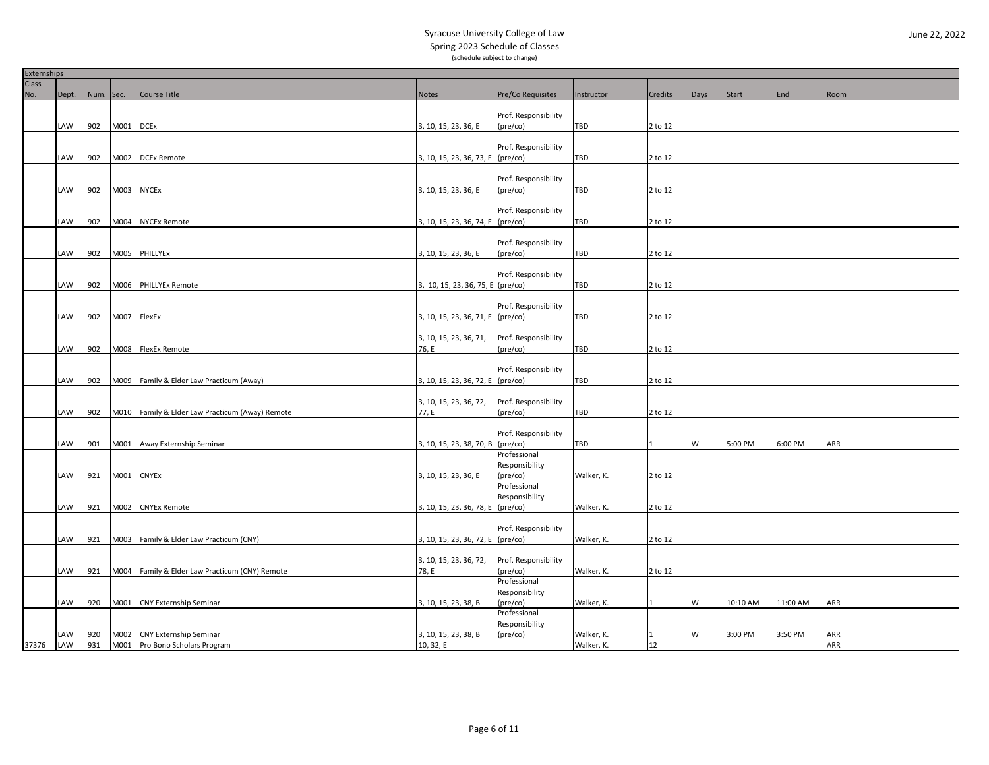|              | Externships |           |             |                                                 |                                   |                                   |            |         |      |          |          |      |
|--------------|-------------|-----------|-------------|-------------------------------------------------|-----------------------------------|-----------------------------------|------------|---------|------|----------|----------|------|
| <b>Class</b> |             |           |             |                                                 |                                   |                                   |            |         |      |          |          |      |
| No.          | Dept.       | Num. Sec. |             | Course Title                                    | <b>Notes</b>                      | Pre/Co Requisites                 | Instructor | Credits | Days | Start    | End      | Room |
|              |             |           |             |                                                 |                                   |                                   |            |         |      |          |          |      |
|              |             |           |             |                                                 |                                   | Prof. Responsibility              |            |         |      |          |          |      |
|              | LAW         | 902       | M001 DCEx   |                                                 | 3, 10, 15, 23, 36, E              | $(\text{pre/co})$                 | TBD        | 2 to 12 |      |          |          |      |
|              |             |           |             |                                                 |                                   |                                   |            |         |      |          |          |      |
|              |             |           |             |                                                 |                                   | Prof. Responsibility              |            |         |      |          |          |      |
|              | LAW         | 902       | M002        | <b>DCEx Remote</b>                              | 3, 10, 15, 23, 36, 73, E (pre/co) |                                   | TBD        | 2 to 12 |      |          |          |      |
|              |             |           |             |                                                 |                                   |                                   |            |         |      |          |          |      |
|              |             |           |             |                                                 |                                   | Prof. Responsibility              |            |         |      |          |          |      |
|              | LAW         | 902       | M003 NYCEx  |                                                 | 3, 10, 15, 23, 36, E              | $(\text{pre/co})$                 | TBD        | 2 to 12 |      |          |          |      |
|              |             |           |             |                                                 |                                   |                                   |            |         |      |          |          |      |
|              |             |           |             |                                                 |                                   | Prof. Responsibility              |            |         |      |          |          |      |
|              | LAW         | 902       |             | M004 NYCEx Remote                               | 3, 10, 15, 23, 36, 74, E (pre/co) |                                   | TBD        | 2 to 12 |      |          |          |      |
|              |             |           |             |                                                 |                                   |                                   |            |         |      |          |          |      |
|              |             |           |             |                                                 |                                   | Prof. Responsibility              |            |         |      |          |          |      |
|              | LAW         | 902       |             | M005 PHILLYEx                                   | 3, 10, 15, 23, 36, E              | (pre/co)                          | TBD        | 2 to 12 |      |          |          |      |
|              |             |           |             |                                                 |                                   |                                   |            |         |      |          |          |      |
|              |             |           |             |                                                 |                                   | Prof. Responsibility              |            |         |      |          |          |      |
|              | LAW         | 902       |             | M006 PHILLYEx Remote                            | 3, 10, 15, 23, 36, 75, E (pre/co) |                                   | <b>TBD</b> | 2 to 12 |      |          |          |      |
|              |             |           |             |                                                 |                                   |                                   |            |         |      |          |          |      |
|              |             |           |             |                                                 |                                   | Prof. Responsibility              |            |         |      |          |          |      |
|              | LAW         | 902       | M007 FlexEx |                                                 | 3, 10, 15, 23, 36, 71, E (pre/co) |                                   | TBD        | 2 to 12 |      |          |          |      |
|              |             |           |             |                                                 |                                   |                                   |            |         |      |          |          |      |
|              |             |           |             |                                                 | 3, 10, 15, 23, 36, 71,            | Prof. Responsibility              |            |         |      |          |          |      |
|              | LAW         | 902       |             | M008 FlexEx Remote                              | 76, E                             | (pre/co)                          | TBD        | 2 to 12 |      |          |          |      |
|              |             |           |             |                                                 |                                   |                                   |            |         |      |          |          |      |
|              |             |           |             |                                                 |                                   | Prof. Responsibility              |            |         |      |          |          |      |
|              | LAW         | 902       |             | M009 Family & Elder Law Practicum (Away)        | 3, 10, 15, 23, 36, 72, E (pre/co) |                                   | <b>TBD</b> | 2 to 12 |      |          |          |      |
|              |             |           |             |                                                 |                                   |                                   |            |         |      |          |          |      |
|              |             |           |             |                                                 | 3, 10, 15, 23, 36, 72,            | Prof. Responsibility              |            |         |      |          |          |      |
|              | LAW         | 902       |             | M010 Family & Elder Law Practicum (Away) Remote | 77, E                             | (pre/co)                          | TBD        | 2 to 12 |      |          |          |      |
|              |             |           |             |                                                 |                                   |                                   |            |         |      |          |          |      |
|              |             |           |             |                                                 |                                   | Prof. Responsibility              |            |         |      |          |          |      |
|              | LAW         | 901       |             | M001 Away Externship Seminar                    | 3, 10, 15, 23, 38, 70, B (pre/co) |                                   | TBD        |         | W    | 5:00 PM  | 6:00 PM  | ARR  |
|              |             |           |             |                                                 |                                   | Professional                      |            |         |      |          |          |      |
|              |             |           |             |                                                 |                                   | Responsibility                    |            |         |      |          |          |      |
|              |             |           |             |                                                 |                                   |                                   |            |         |      |          |          |      |
|              | <b>AW</b>   | 921       | M001 CNYEx  |                                                 | 3, 10, 15, 23, 36, E              | $(\text{pre/co})$<br>Professional | Walker, K. | 2 to 12 |      |          |          |      |
|              |             |           |             |                                                 |                                   | Responsibility                    |            |         |      |          |          |      |
|              | AW          | 921       |             |                                                 |                                   |                                   |            |         |      |          |          |      |
|              |             |           | M002        | <b>CNYEx Remote</b>                             | 3, 10, 15, 23, 36, 78, E (pre/co) |                                   | Walker, K. | 2 to 12 |      |          |          |      |
|              |             |           |             |                                                 |                                   | Prof. Responsibility              |            |         |      |          |          |      |
|              |             |           |             |                                                 |                                   |                                   |            |         |      |          |          |      |
|              | LAW         | 921       |             | M003 Family & Elder Law Practicum (CNY)         | 3, 10, 15, 23, 36, 72, E (pre/co) |                                   | Walker, K. | 2 to 12 |      |          |          |      |
|              |             |           |             |                                                 |                                   |                                   |            |         |      |          |          |      |
|              |             |           |             |                                                 | 3, 10, 15, 23, 36, 72,            | Prof. Responsibility              |            |         |      |          |          |      |
|              | LAW         | 921       |             | M004 Family & Elder Law Practicum (CNY) Remote  | 78, E                             | $(\text{pre/co})$                 | Walker, K. | 2 to 12 |      |          |          |      |
|              |             |           |             |                                                 |                                   | Professional                      |            |         |      |          |          |      |
|              |             |           |             |                                                 |                                   | Responsibility                    |            |         |      |          |          |      |
|              | <b>AW</b>   | 920       |             | M001 CNY Externship Seminar                     | 3, 10, 15, 23, 38, B              | $(\text{pre/co})$                 | Walker, K. |         | W    | 10:10 AM | 11:00 AM | ARR  |
|              |             |           |             |                                                 |                                   | Professional                      |            |         |      |          |          |      |
|              |             |           |             |                                                 |                                   | Responsibility                    |            |         |      |          |          |      |
|              | LAW         | 920       |             | M002 CNY Externship Seminar                     | 3, 10, 15, 23, 38, B              | $(\text{pre/co})$                 | Walker, K. |         | W    | 3:00 PM  | 3:50 PM  | ARR  |
| 37376        | LAW         | 931       |             | M001 Pro Bono Scholars Program                  | 10, 32, E                         |                                   | Walker, K. | 12      |      |          |          | ARR  |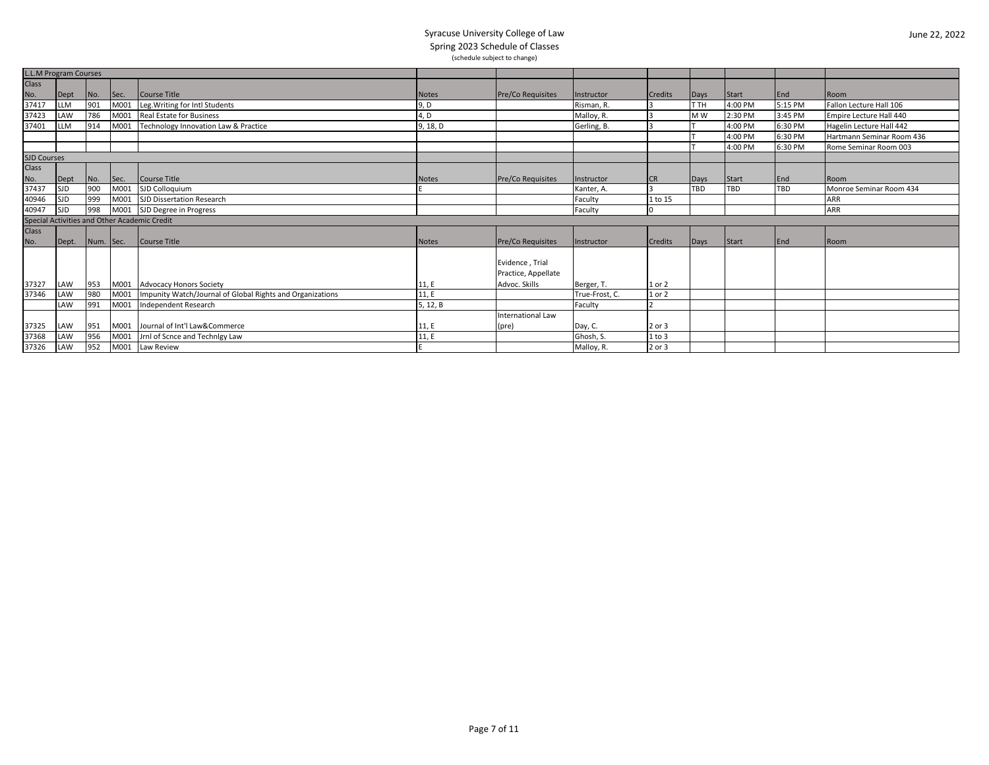| <b>L.L.M Program Courses</b> |            |           |      |                                                           |              |                          |                |                         |                |         |            |                           |
|------------------------------|------------|-----------|------|-----------------------------------------------------------|--------------|--------------------------|----------------|-------------------------|----------------|---------|------------|---------------------------|
| <b>Class</b>                 |            |           |      |                                                           |              |                          |                |                         |                |         |            |                           |
| No.                          | Dept       | No.       | Sec. | Course Title                                              | <b>Notes</b> | <b>Pre/Co Requisites</b> | Instructor     | <b>Credits</b>          | Days           | Start   | End        | Room                      |
| 37417                        | <b>LLM</b> | 901       | M001 | Leg. Writing for Intl Students                            | 9, D         |                          | Risman, R.     | 3                       | T TH           | 4:00 PM | 5:15 PM    | Fallon Lecture Hall 106   |
| 37423                        | LAW        | 786       | M001 | Real Estate for Business                                  | 4, D         |                          | Malloy, R.     | 13                      | M <sub>W</sub> | 2:30 PM | 3:45 PM    | Empire Lecture Hall 440   |
| 37401                        | <b>LLM</b> | 914       | M001 | Technology Innovation Law & Practice                      | 9, 18, D     |                          | Gerling, B.    | 3                       |                | 4:00 PM | 6:30 PM    | Hagelin Lecture Hall 442  |
|                              |            |           |      |                                                           |              |                          |                |                         |                | 4:00 PM | 6:30 PM    | Hartmann Seminar Room 436 |
|                              |            |           |      |                                                           |              |                          |                |                         |                | 4:00 PM | 6:30 PM    | Rome Seminar Room 003     |
| <b>SJD Courses</b>           |            |           |      |                                                           |              |                          |                |                         |                |         |            |                           |
| <b>Class</b>                 |            |           |      |                                                           |              |                          |                |                         |                |         |            |                           |
| No.                          | Dept       | No.       | Sec. | Course Title                                              | <b>Notes</b> | <b>Pre/Co Requisites</b> | Instructor     | <b>CR</b>               | Days           | Start   | End        | Room                      |
| 37437                        | <b>SJD</b> | 900       | M001 | SJD Colloquium                                            |              |                          | Kanter, A.     | $\overline{\mathbf{3}}$ | TBD            | TBD     | <b>TBD</b> | Monroe Seminar Room 434   |
| 40946                        | <b>SJD</b> | 999       | M001 | SJD Dissertation Research                                 |              |                          | Faculty        | 1 to 15                 |                |         |            | <b>ARR</b>                |
| 40947                        | <b>SJD</b> | 998       |      | M001 SJD Degree in Progress                               |              |                          | Faculty        |                         |                |         |            | <b>ARR</b>                |
|                              |            |           |      | Special Activities and Other Academic Credit              |              |                          |                |                         |                |         |            |                           |
| <b>Class</b>                 |            |           |      |                                                           |              |                          |                |                         |                |         |            |                           |
| No.                          | Dept.      | Num. Sec. |      | Course Title                                              | <b>Notes</b> | <b>Pre/Co Requisites</b> | Instructor     | <b>Credits</b>          | Days           | Start   | End        | Room                      |
|                              |            |           |      |                                                           |              |                          |                |                         |                |         |            |                           |
|                              |            |           |      |                                                           |              | Evidence, Trial          |                |                         |                |         |            |                           |
|                              |            |           |      |                                                           |              | Practice, Appellate      |                |                         |                |         |            |                           |
| 37327                        | LAW        | 953       |      | M001 Advocacy Honors Society                              | 11, E        | Advoc. Skills            | Berger, T.     | 1 or 2                  |                |         |            |                           |
| 37346                        | LAW        | 980       | M001 | Impunity Watch/Journal of Global Rights and Organizations | 11.E         |                          | True-Frost, C. | 1 or 2                  |                |         |            |                           |
|                              | LAW        | 991       | M001 | Independent Research                                      | 5, 12, B     |                          | Faculty        |                         |                |         |            |                           |
|                              |            |           |      |                                                           |              | <b>International Law</b> |                |                         |                |         |            |                           |
| 37325                        | LAW        | 951       |      | M001 Journal of Int'l Law&Commerce                        | 11, E        | (pre)                    | Day, C.        | 2 or 3                  |                |         |            |                           |
| 37368                        | LAW        | 956       | M001 | Jrnl of Scnce and Technigy Law                            | 11, E        |                          | Ghosh, S.      | $1$ to $3$              |                |         |            |                           |
| 37326                        | LAW        | 952       | M001 | Law Review                                                |              |                          | Malloy, R.     | 2 or 3                  |                |         |            |                           |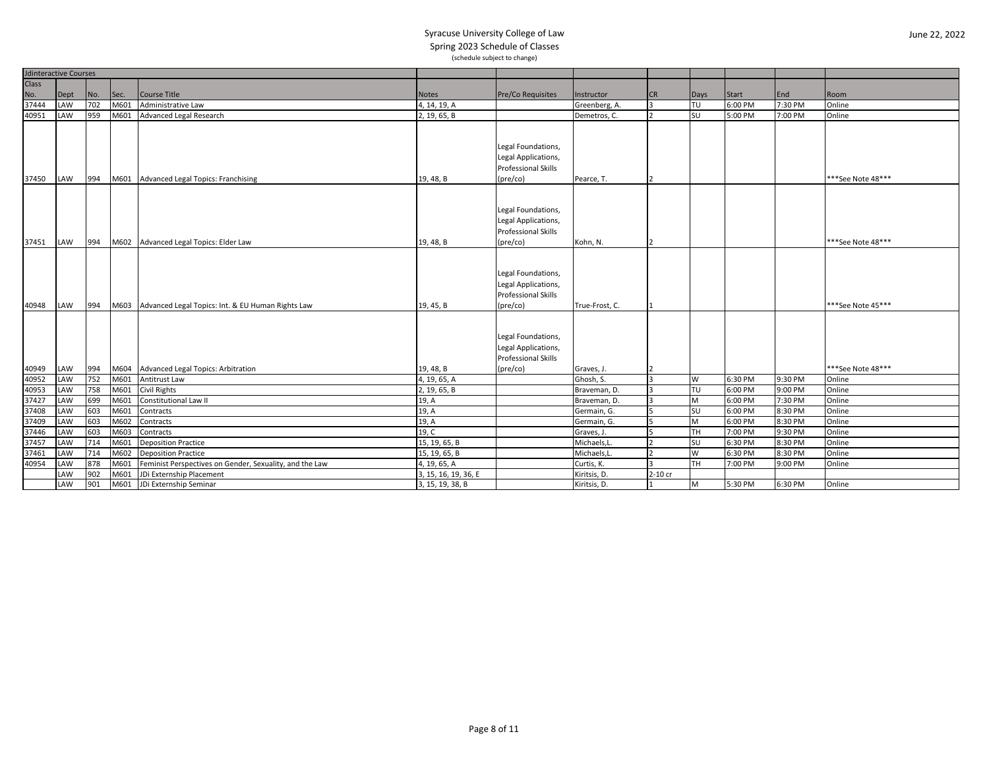|              | <b>Jdinteractive Courses</b> |     |      |                                                         |                      |                                                                                                                                    |                |                |           |         |         |                    |
|--------------|------------------------------|-----|------|---------------------------------------------------------|----------------------|------------------------------------------------------------------------------------------------------------------------------------|----------------|----------------|-----------|---------|---------|--------------------|
| <b>Class</b> |                              |     |      |                                                         |                      |                                                                                                                                    |                |                |           |         |         |                    |
| No.          | Dept                         | No. | Sec. | <b>Course Title</b>                                     | <b>Notes</b>         | Pre/Co Requisites                                                                                                                  | Instructor     | <b>CR</b>      | Days      | Start   | End     | Room               |
| 37444        | LAW                          | 702 | M601 | Administrative Law                                      | 4, 14, 19, A         |                                                                                                                                    | Greenberg, A.  | l 3            | l TU      | 6:00 PM | 7:30 PM | Online             |
| 40951        | LAW                          | 959 | M601 | <b>Advanced Legal Research</b>                          | 2, 19, 65, B         |                                                                                                                                    | Demetros, C.   |                | SU        | 5:00 PM | 7:00 PM | Online             |
| 37450        |                              | 994 |      |                                                         |                      | Legal Foundations,<br>Legal Applications,<br><b>Professional Skills</b><br>$(\text{pre/co})$                                       |                |                |           |         |         | ***See Note 48***  |
|              | LAW                          |     |      | M601 Advanced Legal Topics: Franchising                 | 19, 48, B            |                                                                                                                                    | Pearce, T.     |                |           |         |         |                    |
| 37451        | LAW                          | 994 |      | M602 Advanced Legal Topics: Elder Law                   | 19, 48, B            | Legal Foundations,<br>Legal Applications,<br>Professional Skills<br>(pre/co)                                                       | Kohn, N.       | $\overline{2}$ |           |         |         | *** See Note 48*** |
|              |                              |     |      |                                                         |                      |                                                                                                                                    |                |                |           |         |         |                    |
| 40948        | LAW                          | 994 |      | M603 Advanced Legal Topics: Int. & EU Human Rights Law  | 19, 45, B            | Legal Foundations,<br>Legal Applications,<br>Professional Skills<br>$(\text{pre/co})$<br>Legal Foundations,<br>Legal Applications, | True-Frost, C. |                |           |         |         | ***See Note 45***  |
|              |                              |     |      |                                                         |                      | Professional Skills                                                                                                                |                |                |           |         |         |                    |
| 40949        | LAW                          | 994 |      | M604 Advanced Legal Topics: Arbitration                 | 19, 48, B            | (pre/co)                                                                                                                           | Graves, J.     |                |           |         |         | *** See Note 48*** |
| 40952        | LAW                          | 752 | M601 | Antitrust Law                                           | 4, 19, 65, A         |                                                                                                                                    | Ghosh, S.      | l 3            | W         | 6:30 PM | 9:30 PM | Online             |
| 40953        | LAW                          | 758 | M601 | <b>Civil Rights</b>                                     | 2, 19, 65, B         |                                                                                                                                    | Braveman, D.   | l 3            | TU        | 6:00 PM | 9:00 PM | Online             |
| 37427        | LAW                          | 699 | M601 | Constitutional Law II                                   | 19, A                |                                                                                                                                    | Braveman, D.   | l 3            | M         | 6:00 PM | 7:30 PM | Online             |
| 37408        | LAW                          | 603 | M601 | Contracts                                               | 19, A                |                                                                                                                                    | Germain, G.    |                | SU        | 6:00 PM | 8:30 PM | Online             |
| 37409        | LAW                          | 603 | M602 | Contracts                                               | 19, A                |                                                                                                                                    | Germain, G.    | 5              | M         | 6:00 PM | 8:30 PM | Online             |
| 37446        | LAW                          | 603 | M603 | Contracts                                               | 19, C                |                                                                                                                                    | Graves, J.     | 5              | Ітн       | 7:00 PM | 9:30 PM | Online             |
| 37457        | LAW                          | 714 | M601 | <b>Deposition Practice</b>                              | 15, 19, 65, B        |                                                                                                                                    | Michaels,L.    |                | <b>SU</b> | 6:30 PM | 8:30 PM | Online             |
| 37461        | LAW                          | 714 | M602 | <b>Deposition Practice</b>                              | 15, 19, 65, B        |                                                                                                                                    | Michaels,L     |                | W         | 6:30 PM | 8:30 PM | Online             |
| 40954        | LAW                          | 878 | M601 | Feminist Perspectives on Gender, Sexuality, and the Law | 4, 19, 65, A         |                                                                                                                                    | Curtis, K.     |                | TH        | 7:00 PM | 9:00 PM | Online             |
|              | LAW                          | 902 | M601 | JDi Externship Placement                                | 3, 15, 16, 19, 36, E |                                                                                                                                    | Kiritsis, D.   | 2-10 cr        |           |         |         |                    |
|              | LAW                          | 901 | M601 | JDi Externship Seminar                                  | 3, 15, 19, 38, B     |                                                                                                                                    | Kiritsis, D.   |                | M         | 5:30 PM | 6:30 PM | Online             |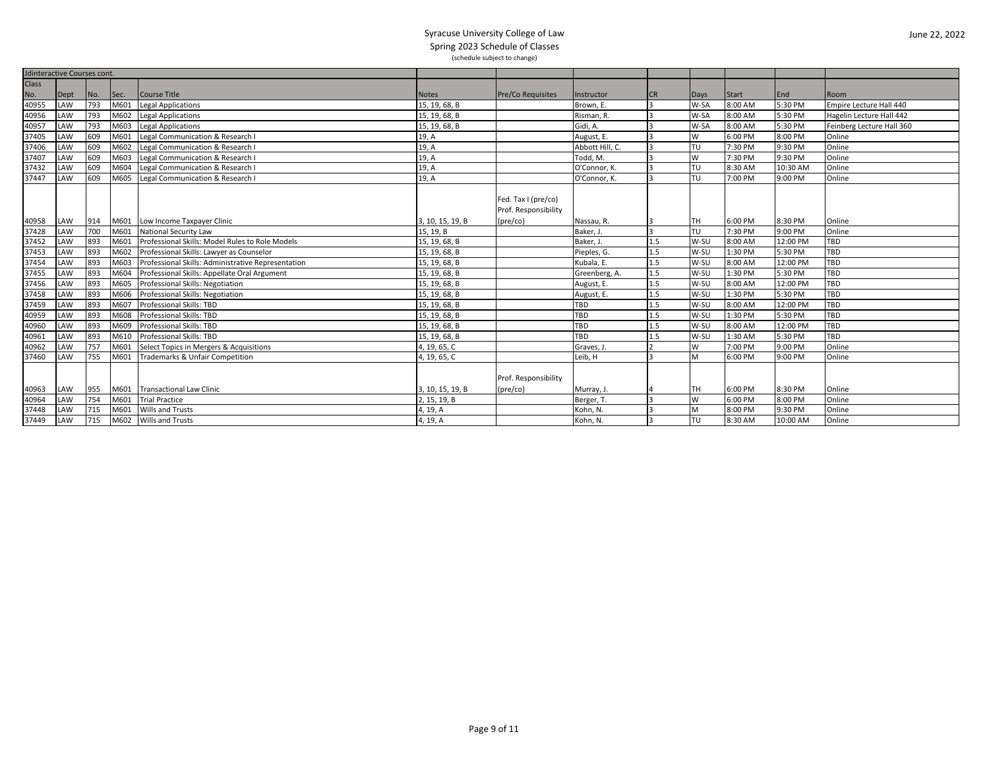| <b>Jdinteractive Courses cont.</b> |      |     |      |                                                    |                  |                          |                 |           |      |         |          |                           |
|------------------------------------|------|-----|------|----------------------------------------------------|------------------|--------------------------|-----------------|-----------|------|---------|----------|---------------------------|
| Class                              |      |     |      |                                                    |                  |                          |                 |           |      |         |          |                           |
| No.                                | Dept | No. | Sec. | Course Title                                       | <b>Notes</b>     | <b>Pre/Co Requisites</b> | Instructor      | <b>CR</b> | Days | Start   | End      | Room                      |
| 40955                              | LAW  | 793 | M601 | <b>Legal Applications</b>                          | 15, 19, 68, B    |                          | Brown, E.       |           | W-SA | 8:00 AM | 5:30 PM  | Empire Lecture Hall 440   |
| 40956                              | LAW  | 793 | M602 | <b>Legal Applications</b>                          | 15, 19, 68, B    |                          | Risman, R.      |           | W-SA | 8:00 AM | 5:30 PM  | Hagelin Lecture Hall 442  |
| 40957                              | LAW  | 793 | M603 | <b>Legal Applications</b>                          | 15, 19, 68, B    |                          | Gidi, A.        |           | W-SA | 8:00 AM | 5:30 PM  | Feinberg Lecture Hall 360 |
| 37405                              | LAW  | 609 | M601 | Legal Communication & Research I                   | 19, A            |                          | August, E.      |           | W    | 6:00 PM | 8:00 PM  | Online                    |
| 37406                              | LAW  | 609 | M602 | Legal Communication & Research I                   | 19, A            |                          | Abbott Hill, C. |           | TU   | 7:30 PM | 9:30 PM  | Online                    |
| 37407                              | LAW  | 609 | M603 | Legal Communication & Research I                   | 19, A            |                          | Todd, M.        |           | W    | 7:30 PM | 9:30 PM  | Online                    |
| 37432                              | LAW  | 609 | M604 | Legal Communication & Research I                   | 19, A            |                          | O'Connor, K.    |           | TU   | 8:30 AM | 10:30 AM | Online                    |
| 37447                              | LAW  | 609 | M605 | Legal Communication & Research I                   | 19, A            |                          | O'Connor, K.    |           | TU   | 7:00 PM | 9:00 PM  | Online                    |
|                                    |      |     |      |                                                    |                  |                          |                 |           |      |         |          |                           |
|                                    |      |     |      |                                                    |                  | Fed. Tax I (pre/co)      |                 |           |      |         |          |                           |
|                                    |      |     |      |                                                    |                  | Prof. Responsibility     |                 |           |      |         |          |                           |
| 40958                              | LAW  | 914 | M601 | Low Income Taxpayer Clinic                         | 3, 10, 15, 19, B | $(\text{pre/co})$        | Nassau, R.      |           | Iтн  | 6:00 PM | 8:30 PM  | Online                    |
| 37428                              | LAW  | 700 | M601 | <b>National Security Law</b>                       | 15, 19, B        |                          | Baker, J        |           | TU   | 7:30 PM | 9:00 PM  | Online                    |
| 37452                              | LAW  | 893 | M601 | Professional Skills: Model Rules to Role Models    | 15, 19, 68, B    |                          | Baker, J.       | 1.5       | W-SU | 8:00 AM | 12:00 PM | <b>TBD</b>                |
| 37453                              | LAW  | 893 | M602 | Professional Skills: Lawyer as Counselor           | 15, 19, 68, B    |                          | Pieples, G.     | 1.5       | W-SU | 1:30 PM | 5:30 PM  | TBD                       |
| 37454                              | LAW  | 893 | M603 | Professional Skills: Administrative Representation | 15, 19, 68, B    |                          | Kubala, E.      | 1.5       | W-SU | 8:00 AM | 12:00 PM | <b>TBD</b>                |
| 37455                              | LAW  | 893 | M604 | Professional Skills: Appellate Oral Argument       | 15, 19, 68, B    |                          | Greenberg, A.   | 1.5       | W-SU | 1:30 PM | 5:30 PM  | TBD                       |
| 37456                              | LAW  | 893 | M605 | Professional Skills: Negotiation                   | 15, 19, 68, B    |                          | August, E.      | 1.5       | W-SU | 8:00 AM | 12:00 PM | TBD                       |
| 37458                              | LAW  | 893 | M606 | Professional Skills: Negotiation                   | 15, 19, 68, B    |                          | August, E.      | 1.5       | W-SU | 1:30 PM | 5:30 PM  | TBD                       |
| 37459                              | LAW  | 893 | M607 | Professional Skills: TBD                           | 15, 19, 68, B    |                          | <b>TBD</b>      | 1.5       | W-SU | 8:00 AM | 12:00 PM | <b>TBD</b>                |
| 40959                              | LAW  | 893 | M608 | Professional Skills: TBD                           | 15, 19, 68, B    |                          | <b>TBD</b>      | 1.5       | W-SU | 1:30 PM | 5:30 PM  | <b>TBD</b>                |
| 40960                              | LAW  | 893 | M609 | Professional Skills: TBD                           | 15, 19, 68, B    |                          | TBD             | 1.5       | W-SU | 8:00 AM | 12:00 PM | <b>TBD</b>                |
| 40961                              | LAW  | 893 | M610 | Professional Skills: TBD                           | 15, 19, 68, B    |                          | <b>TBD</b>      | 1.5       | W-SU | 1:30 AM | 5:30 PM  | <b>TBD</b>                |
| 40962                              | LAW  | 757 | M601 | Select Topics in Mergers & Acquisitions            | 4, 19, 65, C     |                          | Graves, J.      |           | W    | 7:00 PM | 9:00 PM  | Online                    |
| 37460                              | LAW  | 755 | M601 | Trademarks & Unfair Competition                    | 4, 19, 65, C     |                          | Leib, H         |           | M    | 6:00 PM | 9:00 PM  | Online                    |
|                                    |      |     |      |                                                    |                  |                          |                 |           |      |         |          |                           |
|                                    |      |     |      |                                                    |                  | Prof. Responsibility     |                 |           |      |         |          |                           |
| 40963                              | LAW  | 955 |      | M601 Transactional Law Clinic                      | 3, 10, 15, 19, B | $(\text{pre/co})$        | Murray, J.      |           | TH   | 6:00 PM | 8:30 PM  | Online                    |
| 40964                              | LAW  | 754 | M601 | <b>Trial Practice</b>                              | 2, 15, 19, B     |                          | Berger, T.      |           | W    | 6:00 PM | 8:00 PM  | Online                    |
| 37448                              | LAW  | 715 | M601 | Wills and Trusts                                   | 4, 19, A         |                          | Kohn, N.        |           | M    | 8:00 PM | 9:30 PM  | Online                    |
| 37449                              | LAW  | 715 | M602 | Wills and Trusts                                   | 4, 19, A         |                          | Kohn, N.        |           | TU   | 8:30 AM | 10:00 AM | Online                    |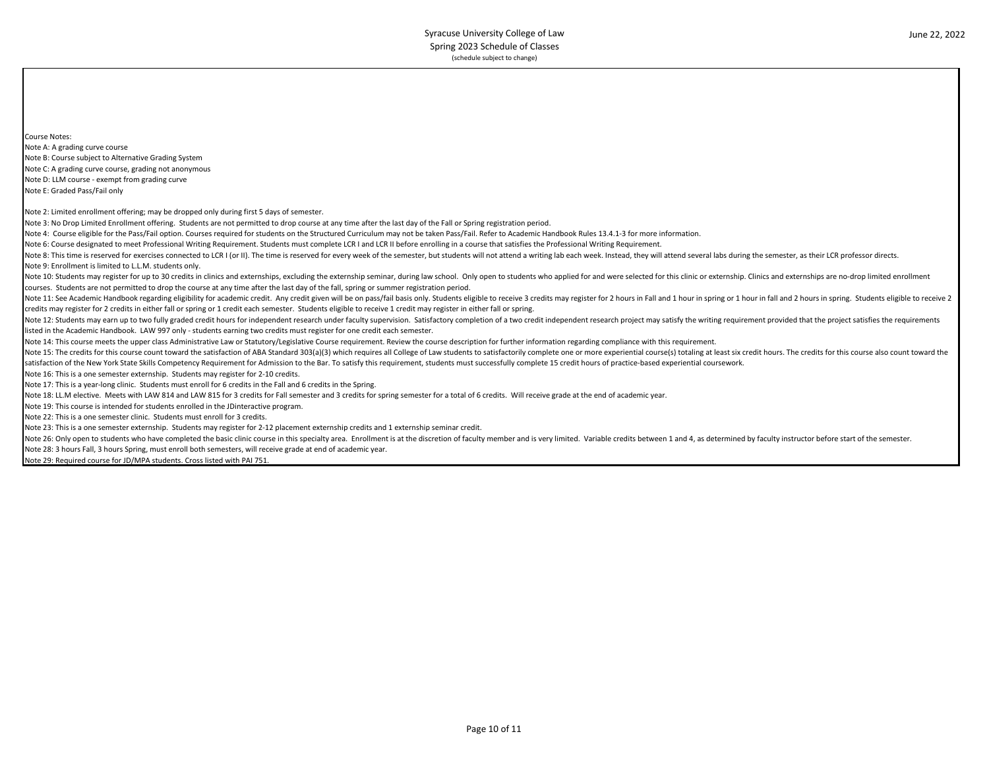Course Notes: Note A: A grading curve course Note B: Course subject to Alternative Grading System Note C: A grading curve course, grading not anonymous Note D: LLM course - exempt from grading curve Note E: Graded Pass/Fail only Note 2: Limited enrollment offering; may be dropped only during first 5 days of semester. Note 3: No Drop Limited Enrollment offering. Students are not permitted to drop course at any time after the last day of the Fall or Spring registration period. Note 4: Course eligible for the Pass/Fail option. Courses required for students on the Structured Curriculum may not be taken Pass/Fail. Refer to Academic Handbook Rules 13.4.1-3 for more information. Note 6: Course designated to meet Professional Writing Requirement. Students must complete LCR I and LCR II before enrolling in a course that satisfies the Professional Writing Requirement. Note 8: This time is reserved for exercises connected to LCR I (or II). The time is reserved for every week of the semester, but students will not attend a writing lab each week. Instead, they will attend aeveral labs duri Note 9: Enrollment is limited to L.L.M. students only. Note 10: Students may register for up to 30 credits in clinics and externships, excluding the externship seminar, during law school. Only open to students who applied for and were selected for this clinic or externship. Cl courses. Students are not permitted to drop the course at any time after the last day of the fall, spring or summer registration period. Note 11: See Academic Handbook regarding eligibility for academic credit. Any credit given will be on pass/fail basis only. Students eligible to receive 3 credits may register for 2 hours in Fall and 1 hour in spring or 1 credits may register for 2 credits in either fall or spring or 1 credit each semester. Students eligible to receive 1 credit may register in either fall or spring. Note 12: Students may earn up to two fully graded credit hours for independent research under faculty supervision. Satisfactory completion of a two credit independent research project may satisfy the writing requirement pr listed in the Academic Handbook. LAW 997 only - students earning two credits must register for one credit each semester. Note 14: This course meets the upper class Administrative Law or Statutory/Legislative Course requirement. Review the course description for further information regarding compliance with this requirement. Note 15: The credits for this course count toward the satisfaction of ABA Standard 303(a)(3) which requires all College of Law students to satisfactorily complete one or more experiential course(s) totaling at least six cr satisfaction of the New York State Skills Competency Requirement for Admission to the Bar. To satisfy this requirement, students must successfully complete 15 credit hours of practice-based experiential coursework. Note 16: This is a one semester externship. Students may register for 2-10 credits. Note 17: This is a year-long clinic. Students must enroll for 6 credits in the Fall and 6 credits in the Spring. Note 18: LL.M elective. Meets with LAW 814 and LAW 815 for 3 credits for Fall semester and 3 credits for spring semester for a total of 6 credits. Will receive grade at the end of academic year. Note 19: This course is intended for students enrolled in the JDinteractive program. Note 22: This is a one semester clinic. Students must enroll for 3 credits. Note 23: This is a one semester externship. Students may register for 2-12 placement externship credits and 1 externship seminar credit. Note 26: Only open to students who have completed the basic clinic course in this specialty area. Enrollment is at the discretion of faculty member and is very limited. Variable credits between 1 and 4, as determined by fa

Note 28: 3 hours Fall, 3 hours Spring, must enroll both semesters, will receive grade at end of academic year.

Note 29: Required course for JD/MPA students. Cross listed with PAI 751.